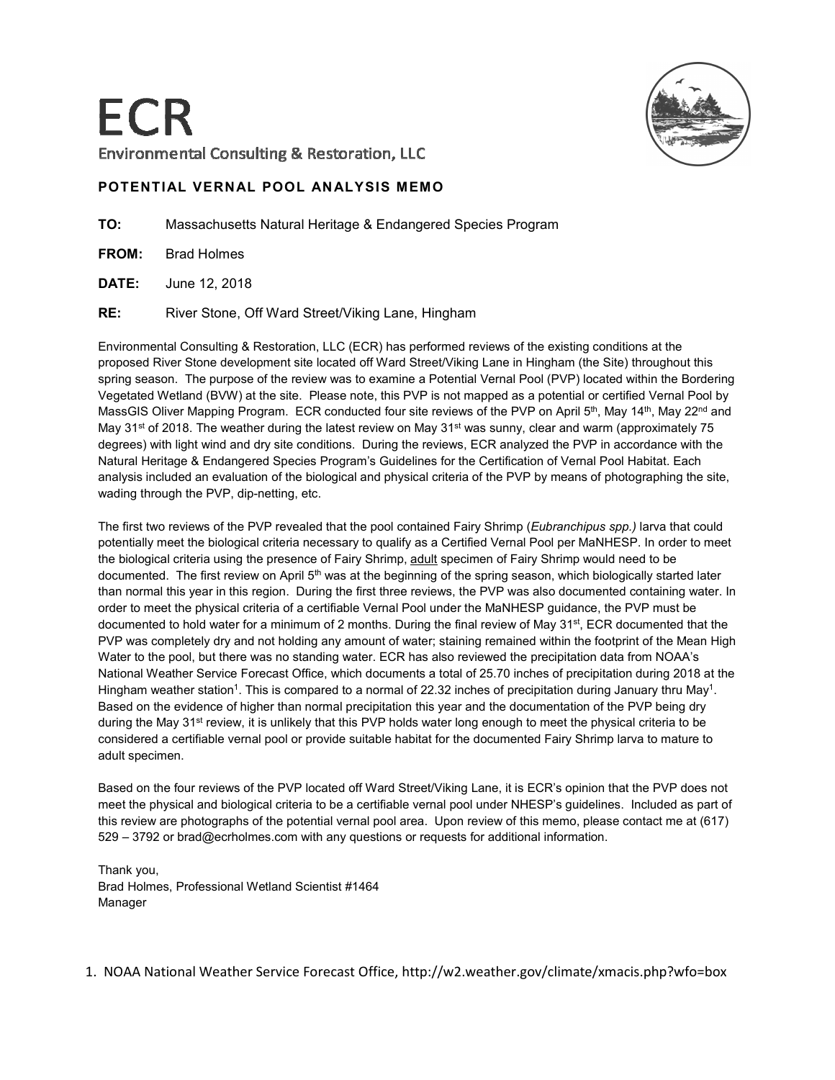

## **POTENTIAL VERNAL POOL ANALYSIS MEMO**

**TO:** Massachusetts Natural Heritage & Endangered Species Program

**FROM:** Brad Holmes

**DATE:** June 12, 2018

**RE:** River Stone, Off Ward Street/Viking Lane, Hingham

Environmental Consulting & Restoration, LLC (ECR) has performed reviews of the existing conditions at the proposed River Stone development site located off Ward Street/Viking Lane in Hingham (the Site) throughout this spring season. The purpose of the review was to examine a Potential Vernal Pool (PVP) located within the Bordering Vegetated Wetland (BVW) at the site. Please note, this PVP is not mapped as a potential or certified Vernal Pool by MassGIS Oliver Mapping Program. ECR conducted four site reviews of the PVP on April 5<sup>th</sup>, May 14<sup>th</sup>, May 22<sup>nd</sup> and May 31<sup>st</sup> of 2018. The weather during the latest review on May 31<sup>st</sup> was sunny, clear and warm (approximately 75 degrees) with light wind and dry site conditions. During the reviews, ECR analyzed the PVP in accordance with the Natural Heritage & Endangered Species Program's Guidelines for the Certification of Vernal Pool Habitat. Each analysis included an evaluation of the biological and physical criteria of the PVP by means of photographing the site, wading through the PVP, dip-netting, etc.

The first two reviews of the PVP revealed that the pool contained Fairy Shrimp (*Eubranchipus spp.)* larva that could potentially meet the biological criteria necessary to qualify as a Certified Vernal Pool per MaNHESP. In order to meet the biological criteria using the presence of Fairy Shrimp, adult specimen of Fairy Shrimp would need to be documented. The first review on April 5<sup>th</sup> was at the beginning of the spring season, which biologically started later than normal this year in this region. During the first three reviews, the PVP was also documented containing water. In order to meet the physical criteria of a certifiable Vernal Pool under the MaNHESP guidance, the PVP must be documented to hold water for a minimum of 2 months. During the final review of May 31st, ECR documented that the PVP was completely dry and not holding any amount of water; staining remained within the footprint of the Mean High Water to the pool, but there was no standing water. ECR has also reviewed the precipitation data from NOAA's National Weather Service Forecast Office, which documents a total of 25.70 inches of precipitation during 2018 at the Hingham weather station<sup>1</sup>. This is compared to a normal of 22.32 inches of precipitation during January thru May<sup>1</sup>. Based on the evidence of higher than normal precipitation this year and the documentation of the PVP being dry during the May 31<sup>st</sup> review, it is unlikely that this PVP holds water long enough to meet the physical criteria to be considered a certifiable vernal pool or provide suitable habitat for the documented Fairy Shrimp larva to mature to adult specimen.

Based on the four reviews of the PVP located off Ward Street/Viking Lane, it is ECR's opinion that the PVP does not meet the physical and biological criteria to be a certifiable vernal pool under NHESP's guidelines. Included as part of this review are photographs of the potential vernal pool area. Upon review of this memo, please contact me at (617) 529 – 3792 or brad@ecrholmes.com with any questions or requests for additional information.

Thank you, Brad Holmes, Professional Wetland Scientist #1464 Manager

1. NOAA National Weather Service Forecast Office, http://w2.weather.gov/climate/xmacis.php?wfo=box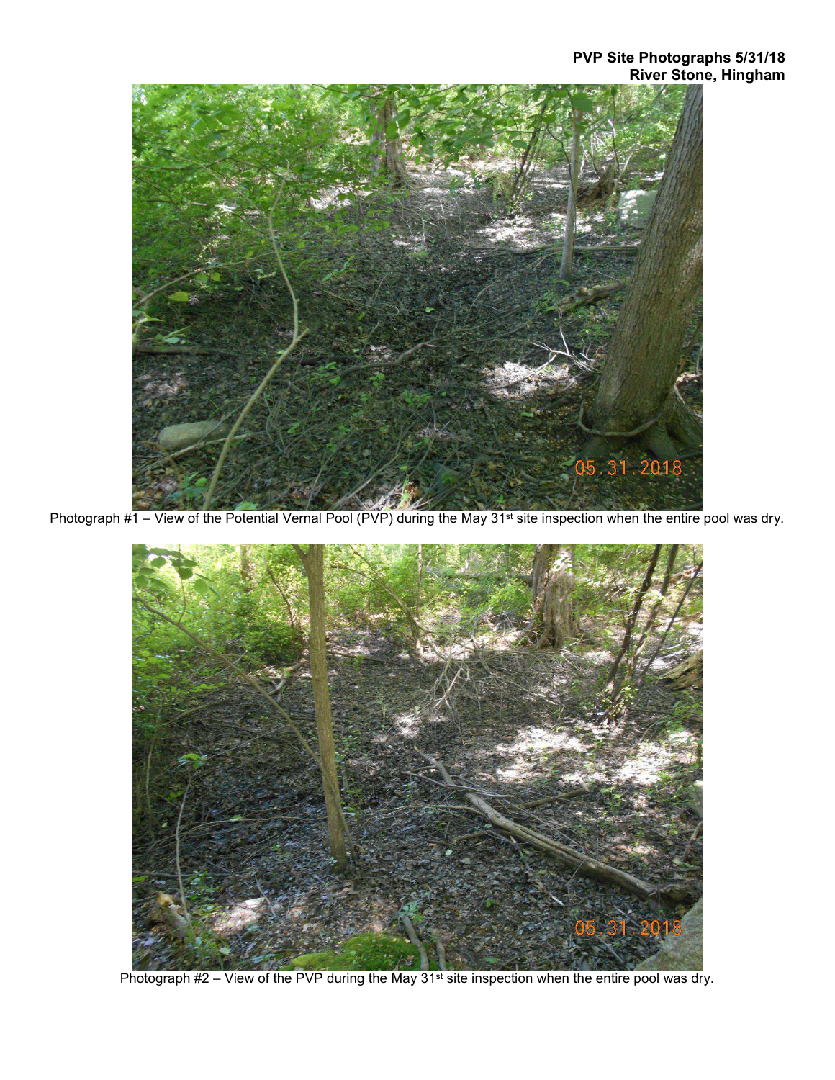

Photograph #1 – View of the Potential Vernal Pool (PVP) during the May 31<sup>st</sup> site inspection when the entire pool was dry.



Photograph #2 – View of the PVP during the May 31<sup>st</sup> site inspection when the entire pool was dry.